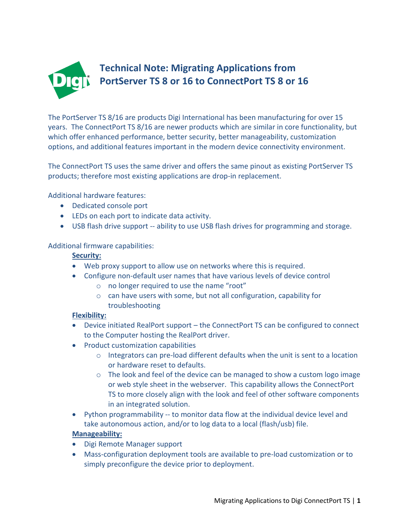

The PortServer TS 8/16 are products Digi International has been manufacturing for over 15 years. The ConnectPort TS 8/16 are newer products which are similar in core functionality, but which offer enhanced performance, better security, better manageability, customization options, and additional features important in the modern device connectivity environment.

The ConnectPort TS uses the same driver and offers the same pinout as existing PortServer TS products; therefore most existing applications are drop-in replacement.

Additional hardware features:

- Dedicated console port
- LEDs on each port to indicate data activity.
- USB flash drive support -- ability to use USB flash drives for programming and storage.

### Additional firmware capabilities:

### **Security:**

- Web proxy support to allow use on networks where this is required.
- Configure non-default user names that have various levels of device control
	- o no longer required to use the name "root"
	- o can have users with some, but not all configuration, capability for troubleshooting

### **Flexibility:**

- Device initiated RealPort support the ConnectPort TS can be configured to connect to the Computer hosting the RealPort driver.
- Product customization capabilities
	- $\circ$  Integrators can pre-load different defaults when the unit is sent to a location or hardware reset to defaults.
	- o The look and feel of the device can be managed to show a custom logo image or web style sheet in the webserver. This capability allows the ConnectPort TS to more closely align with the look and feel of other software components in an integrated solution.
- Python programmability -- to monitor data flow at the individual device level and take autonomous action, and/or to log data to a local (flash/usb) file.

### **Manageability:**

- Digi Remote Manager support
- Mass-configuration deployment tools are available to pre-load customization or to simply preconfigure the device prior to deployment.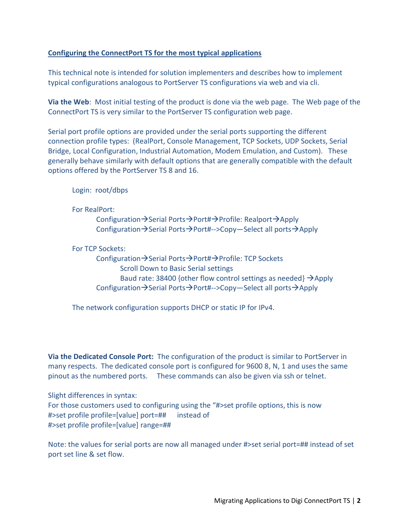# **Configuring the ConnectPort TS for the most typical applications**

This technical note is intended for solution implementers and describes how to implement typical configurations analogous to PortServer TS configurations via web and via cli.

**Via the Web**: Most initial testing of the product is done via the web page. The Web page of the ConnectPort TS is very similar to the PortServer TS configuration web page.

Serial port profile options are provided under the serial ports supporting the different connection profile types: (RealPort, Console Management, TCP Sockets, UDP Sockets, Serial Bridge, Local Configuration, Industrial Automation, Modem Emulation, and Custom). These generally behave similarly with default options that are generally compatible with the default options offered by the PortServer TS 8 and 16.

Login: root/dbps

For RealPort:

Configuration  $\rightarrow$  Serial Ports $\rightarrow$  Port# $\rightarrow$  Profile: Realport  $\rightarrow$  Apply Configuration $\rightarrow$ Serial Ports $\rightarrow$ Port#-->Copy—Select all ports $\rightarrow$ Apply

For TCP Sockets:

Configuration  $\rightarrow$  Serial Ports $\rightarrow$  Port# $\rightarrow$  Profile: TCP Sockets Scroll Down to Basic Serial settings Baud rate: 38400 {other flow control settings as needed}  $\rightarrow$  Apply Configuration  $\rightarrow$  Serial Ports $\rightarrow$  Port#-->Copy—Select all ports $\rightarrow$  Apply

The network configuration supports DHCP or static IP for IPv4.

**Via the Dedicated Console Port:** The configuration of the product is similar to PortServer in many respects. The dedicated console port is configured for 9600 8, N, 1 and uses the same pinout as the numbered ports. These commands can also be given via ssh or telnet.

Slight differences in syntax: For those customers used to configuring using the "#>set profile options, this is now #>set profile profile=[value] port=## instead of #>set profile profile=[value] range=##

Note: the values for serial ports are now all managed under #>set serial port=## instead of set port set line & set flow.